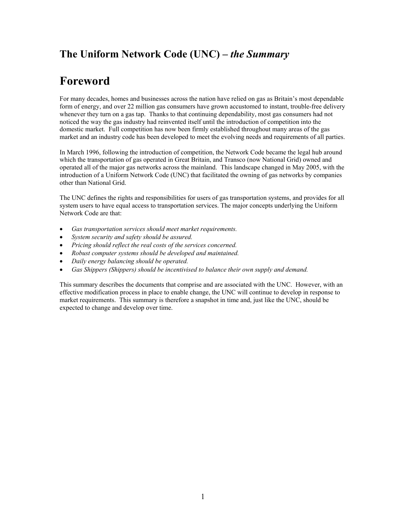# **The Uniform Network Code (UNC) –** *the Summary*

# **Foreword**

For many decades, homes and businesses across the nation have relied on gas as Britain's most dependable form of energy, and over 22 million gas consumers have grown accustomed to instant, trouble-free delivery whenever they turn on a gas tap. Thanks to that continuing dependability, most gas consumers had not noticed the way the gas industry had reinvented itself until the introduction of competition into the domestic market. Full competition has now been firmly established throughout many areas of the gas market and an industry code has been developed to meet the evolving needs and requirements of all parties.

In March 1996, following the introduction of competition, the Network Code became the legal hub around which the transportation of gas operated in Great Britain, and Transco (now National Grid) owned and operated all of the major gas networks across the mainland. This landscape changed in May 2005, with the introduction of a Uniform Network Code (UNC) that facilitated the owning of gas networks by companies other than National Grid.

The UNC defines the rights and responsibilities for users of gas transportation systems, and provides for all system users to have equal access to transportation services. The major concepts underlying the Uniform Network Code are that:

- *Gas transportation services should meet market requirements.*
- *System security and safety should be assured.*
- *Pricing should reflect the real costs of the services concerned.*
- *Robust computer systems should be developed and maintained.*
- *Daily energy balancing should be operated.*
- *Gas Shippers (Shippers) should be incentivised to balance their own supply and demand.*

This summary describes the documents that comprise and are associated with the UNC. However, with an effective modification process in place to enable change, the UNC will continue to develop in response to market requirements. This summary is therefore a snapshot in time and, just like the UNC, should be expected to change and develop over time.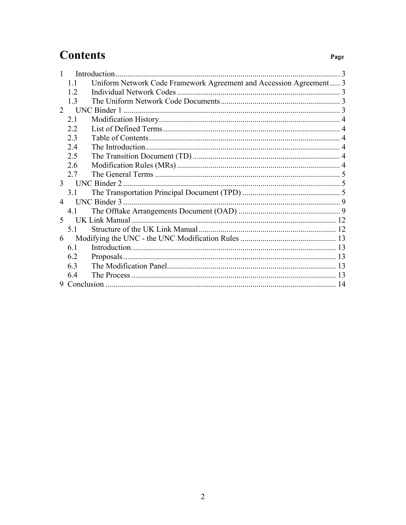# **Contents**

| Introduction  |                                      |                                                                     |  |
|---------------|--------------------------------------|---------------------------------------------------------------------|--|
|               | 11                                   | Uniform Network Code Framework Agreement and Accession Agreement  3 |  |
|               | 12                                   |                                                                     |  |
|               | 1 <sup>3</sup>                       |                                                                     |  |
| $\mathcal{L}$ |                                      | <b>UNC Binder 1</b>                                                 |  |
|               | 21                                   |                                                                     |  |
|               | 2.2                                  |                                                                     |  |
|               | 2.3                                  |                                                                     |  |
|               | 24                                   |                                                                     |  |
|               | 2.5                                  |                                                                     |  |
|               | 2.6                                  |                                                                     |  |
|               | 2.7                                  |                                                                     |  |
|               | <b>UNC Binder 2</b><br>$\mathcal{E}$ |                                                                     |  |
|               | 31                                   |                                                                     |  |
|               |                                      |                                                                     |  |
|               | 41                                   |                                                                     |  |
|               |                                      | UK Link Manual                                                      |  |
|               | 51                                   |                                                                     |  |
| 6             |                                      |                                                                     |  |
|               | 6.1                                  |                                                                     |  |
|               | 6.2                                  |                                                                     |  |
|               | 63                                   |                                                                     |  |
|               | 64                                   |                                                                     |  |
|               |                                      |                                                                     |  |

Page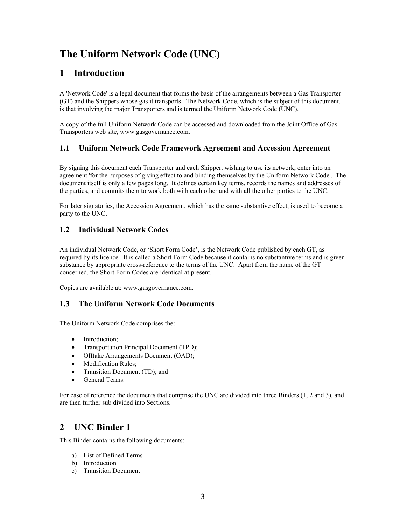# <span id="page-2-0"></span>**The Uniform Network Code (UNC)**

# **1 Introduction**

A 'Network Code' is a legal document that forms the basis of the arrangements between a Gas Transporter (GT) and the Shippers whose gas it transports. The Network Code, which is the subject of this document, is that involving the major Transporters and is termed the Uniform Network Code (UNC).

A copy of the full Uniform Network Code can be accessed and downloaded from the Joint Office of Gas Transporters web site, www.gasgovernance.com.

# **1.1 Uniform Network Code Framework Agreement and Accession Agreement**

By signing this document each Transporter and each Shipper, wishing to use its network, enter into an agreement 'for the purposes of giving effect to and binding themselves by the Uniform Network Code'. The document itself is only a few pages long. It defines certain key terms, records the names and addresses of the parties, and commits them to work both with each other and with all the other parties to the UNC.

For later signatories, the Accession Agreement, which has the same substantive effect, is used to become a party to the UNC.

# **1.2 Individual Network Codes**

An individual Network Code, or 'Short Form Code', is the Network Code published by each GT, as required by its licence. It is called a Short Form Code because it contains no substantive terms and is given substance by appropriate cross-reference to the terms of the UNC. Apart from the name of the GT concerned, the Short Form Codes are identical at present.

Copies are available at: www.gasgovernance.com.

# **1.3 The Uniform Network Code Documents**

The Uniform Network Code comprises the:

- Introduction;
- Transportation Principal Document (TPD);
- Offtake Arrangements Document (OAD);
- Modification Rules;
- Transition Document (TD); and
- General Terms.

For ease of reference the documents that comprise the UNC are divided into three Binders (1, 2 and 3), and are then further sub divided into Sections.

# **2 UNC Binder 1**

This Binder contains the following documents:

- a) List of Defined Terms
- b) Introduction
- c) Transition Document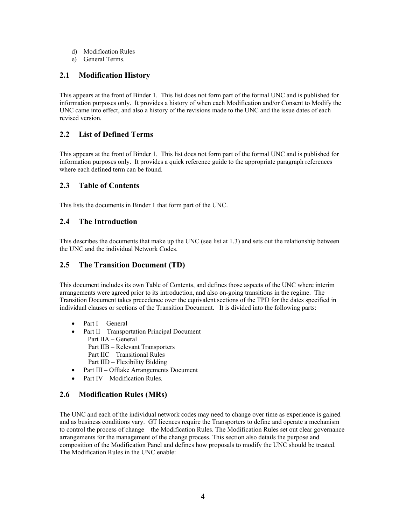- <span id="page-3-0"></span>d) Modification Rules
- e) General Terms.

## **2.1 Modification History**

This appears at the front of Binder 1. This list does not form part of the formal UNC and is published for information purposes only. It provides a history of when each Modification and/or Consent to Modify the UNC came into effect, and also a history of the revisions made to the UNC and the issue dates of each revised version.

# **2.2 List of Defined Terms**

This appears at the front of Binder 1. This list does not form part of the formal UNC and is published for information purposes only. It provides a quick reference guide to the appropriate paragraph references where each defined term can be found.

#### **2.3 Table of Contents**

This lists the documents in Binder 1 that form part of the UNC.

### **2.4 The Introduction**

This describes the documents that make up the UNC (see list at 1.3) and sets out the relationship between the UNC and the individual Network Codes.

## **2.5 The Transition Document (TD)**

This document includes its own Table of Contents, and defines those aspects of the UNC where interim arrangements were agreed prior to its introduction, and also on-going transitions in the regime. The Transition Document takes precedence over the equivalent sections of the TPD for the dates specified in individual clauses or sections of the Transition Document. It is divided into the following parts:

- Part  $I General$
- Part II Transportation Principal Document
	- Part IIA General
	- Part IIB Relevant Transporters
	- Part IIC Transitional Rules
	- Part IID Flexibility Bidding
- Part III Offtake Arrangements Document
- Part IV Modification Rules

# **2.6 Modification Rules (MRs)**

The UNC and each of the individual network codes may need to change over time as experience is gained and as business conditions vary. GT licences require the Transporters to define and operate a mechanism to control the process of change – the Modification Rules. The Modification Rules set out clear governance arrangements for the management of the change process. This section also details the purpose and composition of the Modification Panel and defines how proposals to modify the UNC should be treated. The Modification Rules in the UNC enable: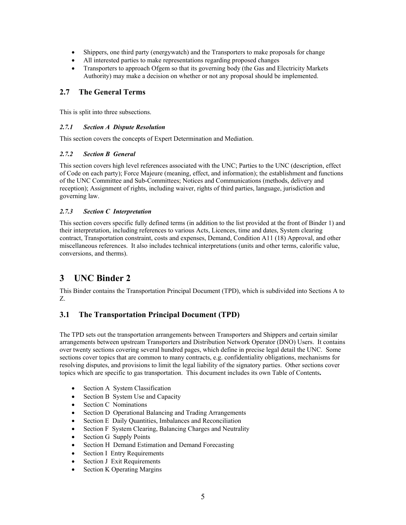- <span id="page-4-0"></span>• Shippers, one third party (energywatch) and the Transporters to make proposals for change
- All interested parties to make representations regarding proposed changes
- Transporters to approach Ofgem so that its governing body (the Gas and Electricity Markets Authority) may make a decision on whether or not any proposal should be implemented.

# **2.7 The General Terms**

This is split into three subsections.

#### *2.7.1 Section A Dispute Resolution*

This section covers the concepts of Expert Determination and Mediation.

#### *2.7.2 Section B General*

This section covers high level references associated with the UNC; Parties to the UNC (description, effect of Code on each party); Force Majeure (meaning, effect, and information); the establishment and functions of the UNC Committee and Sub-Committees; Notices and Communications (methods, delivery and reception); Assignment of rights, including waiver, rights of third parties, language, jurisdiction and governing law.

#### *2.7.3 Section C Interpretation*

This section covers specific fully defined terms (in addition to the list provided at the front of Binder 1) and their interpretation, including references to various Acts, Licences, time and dates, System clearing contract, Transportation constraint, costs and expenses, Demand, Condition A11 (18) Approval, and other miscellaneous references. It also includes technical interpretations (units and other terms, calorific value, conversions, and therms).

# **3 UNC Binder 2**

This Binder contains the Transportation Principal Document (TPD), which is subdivided into Sections A to Z.

# **3.1 The Transportation Principal Document (TPD)**

The TPD sets out the transportation arrangements between Transporters and Shippers and certain similar arrangements between upstream Transporters and Distribution Network Operator (DNO) Users. It contains over twenty sections covering several hundred pages, which define in precise legal detail the UNC. Some sections cover topics that are common to many contracts, e.g. confidentiality obligations, mechanisms for resolving disputes, and provisions to limit the legal liability of the signatory parties. Other sections cover topics which are specific to gas transportation. This document includes its own Table of Contents**.**

- Section A System Classification
- Section B System Use and Capacity
- Section C Nominations
- Section D Operational Balancing and Trading Arrangements
- Section E Daily Quantities, Imbalances and Reconciliation
- Section F System Clearing, Balancing Charges and Neutrality
- Section G Supply Points
- Section H Demand Estimation and Demand Forecasting
- Section I Entry Requirements
- Section J Exit Requirements
- Section K Operating Margins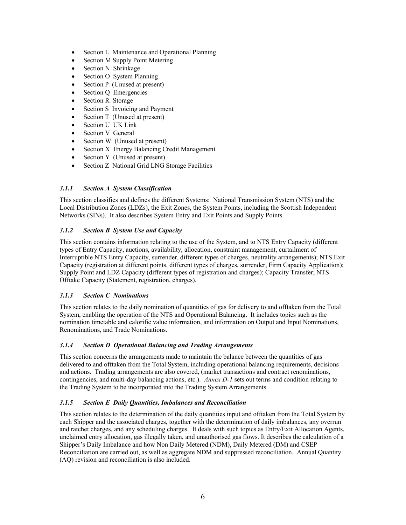- Section L Maintenance and Operational Planning
- Section M Supply Point Metering
- Section N Shrinkage
- Section O System Planning
- Section P (Unused at present)
- Section Q Emergencies
- Section R Storage
- Section S Invoicing and Payment
- Section T (Unused at present)
- Section U UK Link
- Section V General
- Section W (Unused at present)
- Section X Energy Balancing Credit Management
- Section Y (Unused at present)
- Section Z National Grid LNG Storage Facilities

#### *3.1.1 Section A System Classification*

This section classifies and defines the different Systems: National Transmission System (NTS) and the Local Distribution Zones (LDZs), the Exit Zones, the System Points, including the Scottish Independent Networks (SINs). It also describes System Entry and Exit Points and Supply Points.

#### *3.1.2 Section B System Use and Capacity*

This section contains information relating to the use of the System, and to NTS Entry Capacity (different types of Entry Capacity, auctions, availability, allocation, constraint management, curtailment of Interruptible NTS Entry Capacity, surrender, different types of charges, neutrality arrangements); NTS Exit Capacity (registration at different points, different types of charges, surrender, Firm Capacity Application); Supply Point and LDZ Capacity (different types of registration and charges); Capacity Transfer; NTS Offtake Capacity (Statement, registration, charges).

#### *3.1.3 Section C Nominations*

This section relates to the daily nomination of quantities of gas for delivery to and offtaken from the Total System, enabling the operation of the NTS and Operational Balancing. It includes topics such as the nomination timetable and calorific value information, and information on Output and Input Nominations, Renominations, and Trade Nominations.

#### *3.1.4 Section D Operational Balancing and Trading Arrangements*

This section concerns the arrangements made to maintain the balance between the quantities of gas delivered to and offtaken from the Total System, including operational balancing requirements, decisions and actions. Trading arrangements are also covered, (market transactions and contract renominations, contingencies, and multi-day balancing actions, etc.). *Annex D-1* sets out terms and condition relating to the Trading System to be incorporated into the Trading System Arrangements.

#### *3.1.5 Section E Daily Quantities, Imbalances and Reconciliation*

This section relates to the determination of the daily quantities input and offtaken from the Total System by each Shipper and the associated charges, together with the determination of daily imbalances, any overrun and ratchet charges, and any scheduling charges. It deals with such topics as Entry/Exit Allocation Agents, unclaimed entry allocation, gas illegally taken, and unauthorised gas flows. It describes the calculation of a Shipper's Daily Imbalance and how Non Daily Metered (NDM), Daily Metered (DM) and CSEP Reconciliation are carried out, as well as aggregate NDM and suppressed reconciliation. Annual Quantity (AQ) revision and reconciliation is also included.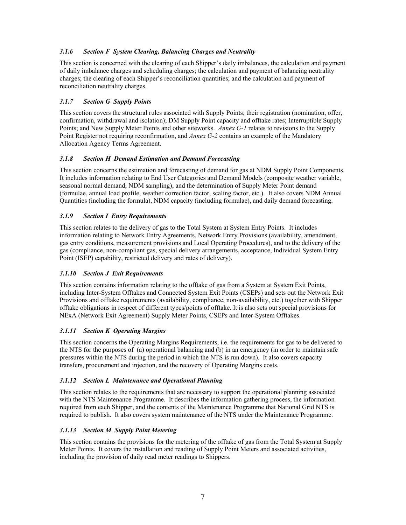#### *3.1.6 Section F System Clearing, Balancing Charges and Neutrality*

This section is concerned with the clearing of each Shipper's daily imbalances, the calculation and payment of daily imbalance charges and scheduling charges; the calculation and payment of balancing neutrality charges; the clearing of each Shipper's reconciliation quantities; and the calculation and payment of reconciliation neutrality charges.

#### *3.1.7 Section G Supply Points*

This section covers the structural rules associated with Supply Points; their registration (nomination, offer, confirmation, withdrawal and isolation); DM Supply Point capacity and offtake rates; Interruptible Supply Points; and New Supply Meter Points and other siteworks. *Annex G-1* relates to revisions to the Supply Point Register not requiring reconfirmation, and *Annex G-2* contains an example of the Mandatory Allocation Agency Terms Agreement.

#### *3.1.8 Section H Demand Estimation and Demand Forecasting*

This section concerns the estimation and forecasting of demand for gas at NDM Supply Point Components. It includes information relating to End User Categories and Demand Models (composite weather variable, seasonal normal demand, NDM sampling), and the determination of Supply Meter Point demand (formulae, annual load profile, weather correction factor, scaling factor, etc.). It also covers NDM Annual Quantities (including the formula), NDM capacity (including formulae), and daily demand forecasting.

#### *3.1.9 Section I Entry Requirements*

This section relates to the delivery of gas to the Total System at System Entry Points. It includes information relating to Network Entry Agreements, Network Entry Provisions (availability, amendment, gas entry conditions, measurement provisions and Local Operating Procedures), and to the delivery of the gas (compliance, non-compliant gas, special delivery arrangements, acceptance, Individual System Entry Point (ISEP) capability, restricted delivery and rates of delivery).

#### *3.1.10 Section J Exit Requirements*

This section contains information relating to the offtake of gas from a System at System Exit Points, including Inter-System Offtakes and Connected System Exit Points (CSEPs) and sets out the Network Exit Provisions and offtake requirements (availability, compliance, non-availability, etc.) together with Shipper offtake obligations in respect of different types/points of offtake. It is also sets out special provisions for NExA (Network Exit Agreement) Supply Meter Points, CSEPs and Inter-System Offtakes.

#### *3.1.11 Section K Operating Margins*

This section concerns the Operating Margins Requirements, i.e. the requirements for gas to be delivered to the NTS for the purposes of (a) operational balancing and (b) in an emergency (in order to maintain safe pressures within the NTS during the period in which the NTS is run down). It also covers capacity transfers, procurement and injection, and the recovery of Operating Margins costs.

#### *3.1.12 Section L Maintenance and Operational Planning*

This section relates to the requirements that are necessary to support the operational planning associated with the NTS Maintenance Programme. It describes the information gathering process, the information required from each Shipper, and the contents of the Maintenance Programme that National Grid NTS is required to publish. It also covers system maintenance of the NTS under the Maintenance Programme.

#### *3.1.13 Section M Supply Point Metering*

This section contains the provisions for the metering of the offtake of gas from the Total System at Supply Meter Points. It covers the installation and reading of Supply Point Meters and associated activities, including the provision of daily read meter readings to Shippers.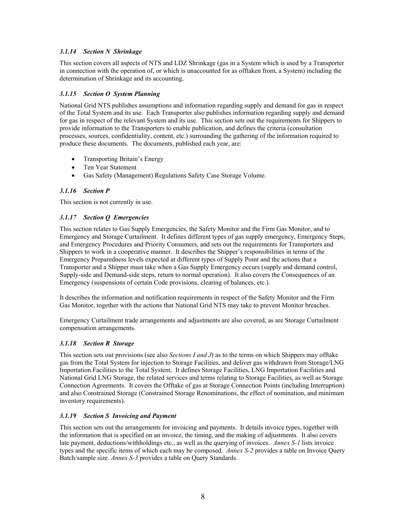#### *3.1.14 Section N Shrinkage*

This section covers all aspects of NTS and LDZ Shrinkage (gas in a System which is used by a Transporter in connection with the operation of, or which is unaccounted for as offtaken from, a System) including the determination of Shrinkage and its accounting.

#### *3.1.15 Section O System Planning*

National Grid NTS publishes assumptions and information regarding supply and demand for gas in respect of the Total System and its use. Each Transporter also publishes information regarding supply and demand for gas in respect of the relevant System and its use. This section sets out the requirements for Shippers to provide information to the Transporters to enable publication, and defines the criteria (consultation processes, sources, confidentiality, content, etc.) surrounding the gathering of the information required to produce these documents. The documents, published each year, are:

- Transporting Britain's Energy
- Ten Year Statement
- Gas Safety (Management) Regulations Safety Case Storage Volume.

#### *3.1.16 Section P*

This section is not currently in use.

#### *3.1.17 Section Q Emergencies*

This section relates to Gas Supply Emergencies, the Safety Monitor and the Firm Gas Monitor, and to Emergency and Storage Curtailment. It defines different types of gas supply emergency, Emergency Steps, and Emergency Procedures and Priority Consumers, and sets out the requirements for Transporters and Shippers to work in a cooperative manner. It describes the Shipper's responsibilities in terms of the Emergency Preparedness levels expected at different types of Supply Point and the actions that a Transporter and a Shipper must take when a Gas Supply Emergency occurs (supply and demand control, Supply-side and Demand-side steps, return to normal operation). It also covers the Consequences of an Emergency (suspensions of certain Code provisions, clearing of balances, etc.).

It describes the information and notification requirements in respect of the Safety Monitor and the Firm Gas Monitor, together with the actions that National Grid NTS may take to prevent Monitor breaches.

Emergency Curtailment trade arrangements and adjustments are also covered, as are Storage Curtailment compensation arrangements.

#### *3.1.18 Section R Storage*

This section sets out provisions (see also *Sections I and J*) as to the terms on which Shippers may offtake gas from the Total System for injection to Storage Facilities, and deliver gas withdrawn from Storage/LNG Importation Facilities to the Total System. It defines Storage Facilities, LNG Importation Facilities and National Grid LNG Storage, the related services and terms relating to Storage Facilities, as well as Storage Connection Agreements. It covers the Offtake of gas at Storage Connection Points (including Interruption) and also Constrained Storage (Constrained Storage Renominations, the effect of nomination, and minimum inventory requirements).

#### *3.1.19 Section S Invoicing and Payment*

This section sets out the arrangements for invoicing and payments. It details invoice types, together with the information that is specified on an invoice, the timing, and the making of adjustments. It also covers late payment, deductions/withholdings etc., as well as the querying of invoices. *Annex S-1* lists invoice types and the specific items of which each may be composed. *Annex S-2* provides a table on Invoice Query Batch/sample size. *Annex S-3* provides a table on Query Standards.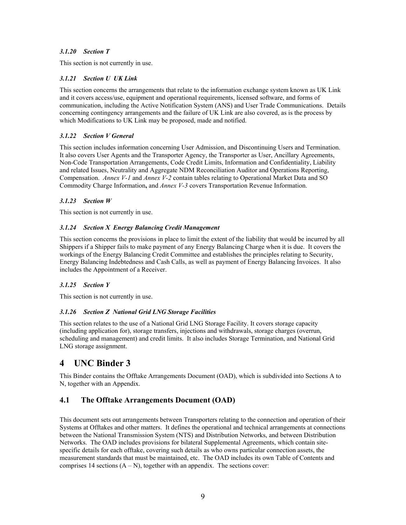#### <span id="page-8-0"></span>*3.1.20 Section T*

This section is not currently in use.

#### *3.1.21 Section U UK Link*

This section concerns the arrangements that relate to the information exchange system known as UK Link and it covers access/use, equipment and operational requirements, licensed software, and forms of communication, including the Active Notification System (ANS) and User Trade Communications. Details concerning contingency arrangements and the failure of UK Link are also covered, as is the process by which Modifications to UK Link may be proposed, made and notified.

#### *3.1.22 Section V General*

This section includes information concerning User Admission, and Discontinuing Users and Termination. It also covers User Agents and the Transporter Agency, the Transporter as User, Ancillary Agreements, Non-Code Transportation Arrangements, Code Credit Limits, Information and Confidentiality, Liability and related Issues, Neutrality and Aggregate NDM Reconciliation Auditor and Operations Reporting, Compensation. *Annex V-1* and *Annex V-2* contain tables relating to Operational Market Data and SO Commodity Charge Information**,** and *Annex V-3* covers Transportation Revenue Information.

#### *3.1.23 Section W*

This section is not currently in use.

#### *3.1.24 Section X Energy Balancing Credit Management*

This section concerns the provisions in place to limit the extent of the liability that would be incurred by all Shippers if a Shipper fails to make payment of any Energy Balancing Charge when it is due. It covers the workings of the Energy Balancing Credit Committee and establishes the principles relating to Security, Energy Balancing Indebtedness and Cash Calls, as well as payment of Energy Balancing Invoices. It also includes the Appointment of a Receiver.

#### *3.1.25 Section Y*

This section is not currently in use.

#### *3.1.26 Section Z National Grid LNG Storage Facilities*

This section relates to the use of a National Grid LNG Storage Facility. It covers storage capacity (including application for), storage transfers, injections and withdrawals, storage charges (overrun, scheduling and management) and credit limits. It also includes Storage Termination, and National Grid LNG storage assignment.

# **4 UNC Binder 3**

This Binder contains the Offtake Arrangements Document (OAD), which is subdivided into Sections A to N, together with an Appendix.

# **4.1 The Offtake Arrangements Document (OAD)**

This document sets out arrangements between Transporters relating to the connection and operation of their Systems at Offtakes and other matters. It defines the operational and technical arrangements at connections between the National Transmission System (NTS) and Distribution Networks, and between Distribution Networks. The OAD includes provisions for bilateral Supplemental Agreements, which contain sitespecific details for each offtake, covering such details as who owns particular connection assets, the measurement standards that must be maintained, etc. The OAD includes its own Table of Contents and comprises 14 sections  $(A - N)$ , together with an appendix. The sections cover: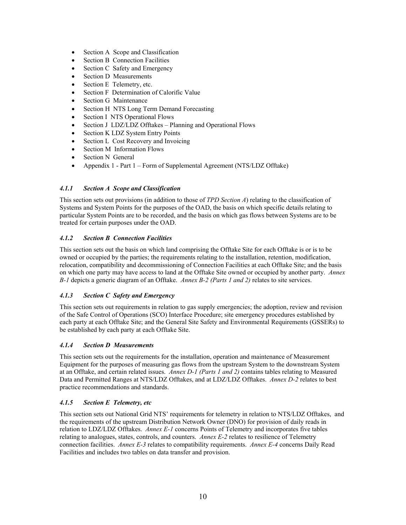- Section A Scope and Classification
- Section B Connection Facilities
- Section C Safety and Emergency
- Section D Measurements
- Section E Telemetry, etc.
- Section F Determination of Calorific Value
- Section G Maintenance
- Section H NTS Long Term Demand Forecasting
- Section I NTS Operational Flows
- Section J LDZ/LDZ Offtakes Planning and Operational Flows
- Section K LDZ System Entry Points
- Section L Cost Recovery and Invoicing
- Section M Information Flows
- Section N General
- Appendix 1 Part 1 Form of Supplemental Agreement (NTS/LDZ Offtake)

#### *4.1.1 Section A Scope and Classification*

This section sets out provisions (in addition to those of *TPD Section A*) relating to the classification of Systems and System Points for the purposes of the OAD, the basis on which specific details relating to particular System Points are to be recorded, and the basis on which gas flows between Systems are to be treated for certain purposes under the OAD.

#### *4.1.2 Section B Connection Facilities*

This section sets out the basis on which land comprising the Offtake Site for each Offtake is or is to be owned or occupied by the parties; the requirements relating to the installation, retention, modification, relocation, compatibility and decommissioning of Connection Facilities at each Offtake Site; and the basis on which one party may have access to land at the Offtake Site owned or occupied by another party. *Annex B-1* depicts a generic diagram of an Offtake. *Annex B-2 (Parts 1 and 2)* relates to site services.

#### *4.1.3 Section C Safety and Emergency*

This section sets out requirements in relation to gas supply emergencies; the adoption, review and revision of the Safe Control of Operations (SCO) Interface Procedure; site emergency procedures established by each party at each Offtake Site; and the General Site Safety and Environmental Requirements (GSSERs) to be established by each party at each Offtake Site.

#### *4.1.4 Section D Measurements*

This section sets out the requirements for the installation, operation and maintenance of Measurement Equipment for the purposes of measuring gas flows from the upstream System to the downstream System at an Offtake, and certain related issues. *Annex D-1 (Parts 1 and 2)* contains tables relating to Measured Data and Permitted Ranges at NTS/LDZ Offtakes, and at LDZ/LDZ Offtakes. *Annex D-2* relates to best practice recommendations and standards.

#### *4.1.5 Section E Telemetry, etc*

This section sets out National Grid NTS' requirements for telemetry in relation to NTS/LDZ Offtakes, and the requirements of the upstream Distribution Network Owner (DNO) for provision of daily reads in relation to LDZ/LDZ Offtakes. *Annex E-1* concerns Points of Telemetry and incorporates five tables relating to analogues, states, controls, and counters. *Annex E-2* relates to resilience of Telemetry connection facilities. *Annex E-3* relates to compatibility requirements. *Annex E-4* concerns Daily Read Facilities and includes two tables on data transfer and provision.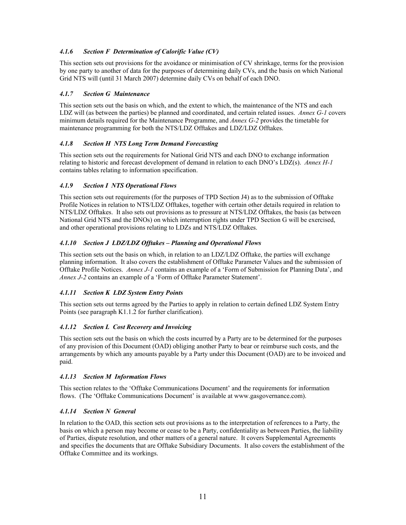#### *4.1.6 Section F Determination of Calorific Value (CV)*

This section sets out provisions for the avoidance or minimisation of CV shrinkage, terms for the provision by one party to another of data for the purposes of determining daily CVs, and the basis on which National Grid NTS will (until 31 March 2007) determine daily CVs on behalf of each DNO.

#### *4.1.7 Section G Maintenance*

This section sets out the basis on which, and the extent to which, the maintenance of the NTS and each LDZ will (as between the parties) be planned and coordinated, and certain related issues. *Annex G-1* covers minimum details required for the Maintenance Programme, and *Annex G-2* provides the timetable for maintenance programming for both the NTS/LDZ Offtakes and LDZ/LDZ Offtakes.

#### *4.1.8 Section H NTS Long Term Demand Forecasting*

This section sets out the requirements for National Grid NTS and each DNO to exchange information relating to historic and forecast development of demand in relation to each DNO's LDZ(s). *Annex H-1* contains tables relating to information specification.

#### *4.1.9 Section I NTS Operational Flows*

This section sets out requirements (for the purposes of TPD Section J4) as to the submission of Offtake Profile Notices in relation to NTS/LDZ Offtakes, together with certain other details required in relation to NTS/LDZ Offtakes. It also sets out provisions as to pressure at NTS/LDZ Offtakes, the basis (as between National Grid NTS and the DNOs) on which interruption rights under TPD Section G will be exercised, and other operational provisions relating to LDZs and NTS/LDZ Offtakes.

#### *4.1.10 Section J LDZ/LDZ Offtakes – Planning and Operational Flows*

This section sets out the basis on which, in relation to an LDZ/LDZ Offtake, the parties will exchange planning information. It also covers the establishment of Offtake Parameter Values and the submission of Offtake Profile Notices. *Annex J-1* contains an example of a 'Form of Submission for Planning Data', and *Annex J-2* contains an example of a 'Form of Offtake Parameter Statement'.

#### *4.1.11 Section K LDZ System Entry Points*

This section sets out terms agreed by the Parties to apply in relation to certain defined LDZ System Entry Points (see paragraph K1.1.2 for further clarification).

#### *4.1.12 Section L Cost Recovery and Invoicing*

This section sets out the basis on which the costs incurred by a Party are to be determined for the purposes of any provision of this Document (OAD) obliging another Party to bear or reimburse such costs, and the arrangements by which any amounts payable by a Party under this Document (OAD) are to be invoiced and paid.

#### *4.1.13 Section M Information Flows*

This section relates to the 'Offtake Communications Document' and the requirements for information flows. (The 'Offtake Communications Document' is available at www.gasgovernance.com).

#### *4.1.14 Section N General*

In relation to the OAD, this section sets out provisions as to the interpretation of references to a Party, the basis on which a person may become or cease to be a Party, confidentiality as between Parties, the liability of Parties, dispute resolution, and other matters of a general nature. It covers Supplemental Agreements and specifies the documents that are Offtake Subsidiary Documents. It also covers the establishment of the Offtake Committee and its workings.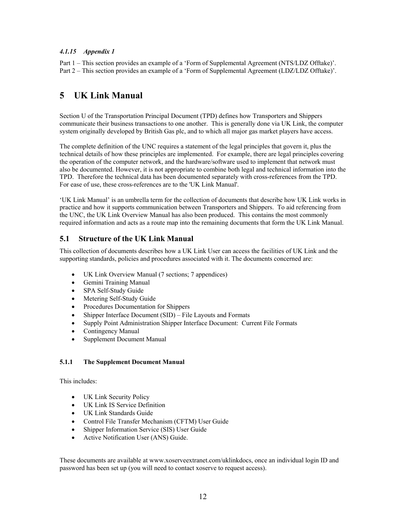#### <span id="page-11-0"></span>*4.1.15 Appendix 1*

Part 1 – This section provides an example of a 'Form of Supplemental Agreement (NTS/LDZ Offtake)'. Part 2 – This section provides an example of a 'Form of Supplemental Agreement (LDZ/LDZ Offtake)'.

# **5 UK Link Manual**

Section U of the Transportation Principal Document (TPD) defines how Transporters and Shippers communicate their business transactions to one another. This is generally done via UK Link, the computer system originally developed by British Gas plc, and to which all major gas market players have access.

The complete definition of the UNC requires a statement of the legal principles that govern it, plus the technical details of how these principles are implemented. For example, there are legal principles covering the operation of the computer network, and the hardware/software used to implement that network must also be documented. However, it is not appropriate to combine both legal and technical information into the TPD. Therefore the technical data has been documented separately with cross-references from the TPD. For ease of use, these cross-references are to the 'UK Link Manual'.

'UK Link Manual' is an umbrella term for the collection of documents that describe how UK Link works in practice and how it supports communication between Transporters and Shippers. To aid referencing from the UNC, the UK Link Overview Manual has also been produced. This contains the most commonly required information and acts as a route map into the remaining documents that form the UK Link Manual.

### **5.1 Structure of the UK Link Manual**

This collection of documents describes how a UK Link User can access the facilities of UK Link and the supporting standards, policies and procedures associated with it. The documents concerned are:

- UK Link Overview Manual (7 sections; 7 appendices)
- Gemini Training Manual
- SPA Self-Study Guide
- Metering Self-Study Guide
- Procedures Documentation for Shippers
- Shipper Interface Document (SID) File Layouts and Formats
- Supply Point Administration Shipper Interface Document: Current File Formats
- Contingency Manual
- Supplement Document Manual

#### **5.1.1 The Supplement Document Manual**

This includes:

- UK Link Security Policy
- UK Link IS Service Definition
- UK Link Standards Guide
- Control File Transfer Mechanism (CFTM) User Guide
- Shipper Information Service (SIS) User Guide
- Active Notification User (ANS) Guide.

These documents are available at www.xoserveextranet.com/uklinkdocs, once an individual login ID and password has been set up (you will need to contact xoserve to request access).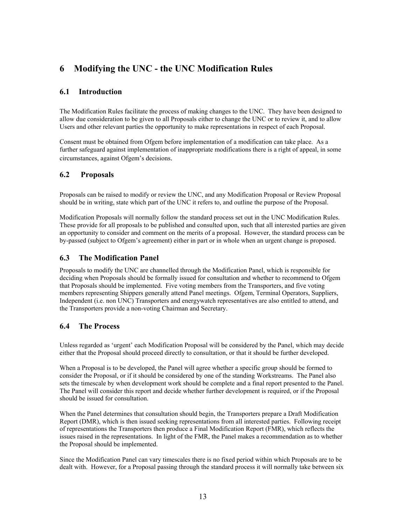# <span id="page-12-0"></span>**6 Modifying the UNC - the UNC Modification Rules**

# **6.1 Introduction**

The Modification Rules facilitate the process of making changes to the UNC. They have been designed to allow due consideration to be given to all Proposals either to change the UNC or to review it, and to allow Users and other relevant parties the opportunity to make representations in respect of each Proposal.

Consent must be obtained from Ofgem before implementation of a modification can take place. As a further safeguard against implementation of inappropriate modifications there is a right of appeal, in some circumstances, against Ofgem's decisions.

# **6.2 Proposals**

Proposals can be raised to modify or review the UNC, and any Modification Proposal or Review Proposal should be in writing, state which part of the UNC it refers to, and outline the purpose of the Proposal.

Modification Proposals will normally follow the standard process set out in the UNC Modification Rules. These provide for all proposals to be published and consulted upon, such that all interested parties are given an opportunity to consider and comment on the merits of a proposal. However, the standard process can be by-passed (subject to Ofgem's agreement) either in part or in whole when an urgent change is proposed.

# **6.3 The Modification Panel**

Proposals to modify the UNC are channelled through the Modification Panel, which is responsible for deciding when Proposals should be formally issued for consultation and whether to recommend to Ofgem that Proposals should be implemented. Five voting members from the Transporters, and five voting members representing Shippers generally attend Panel meetings. Ofgem, Terminal Operators, Suppliers, Independent (i.e. non UNC) Transporters and energywatch representatives are also entitled to attend, and the Transporters provide a non-voting Chairman and Secretary.

# **6.4 The Process**

Unless regarded as 'urgent' each Modification Proposal will be considered by the Panel, which may decide either that the Proposal should proceed directly to consultation, or that it should be further developed.

When a Proposal is to be developed, the Panel will agree whether a specific group should be formed to consider the Proposal, or if it should be considered by one of the standing Workstreams. The Panel also sets the timescale by when development work should be complete and a final report presented to the Panel. The Panel will consider this report and decide whether further development is required, or if the Proposal should be issued for consultation.

When the Panel determines that consultation should begin, the Transporters prepare a Draft Modification Report (DMR), which is then issued seeking representations from all interested parties. Following receipt of representations the Transporters then produce a Final Modification Report (FMR), which reflects the issues raised in the representations. In light of the FMR, the Panel makes a recommendation as to whether the Proposal should be implemented.

Since the Modification Panel can vary timescales there is no fixed period within which Proposals are to be dealt with. However, for a Proposal passing through the standard process it will normally take between six